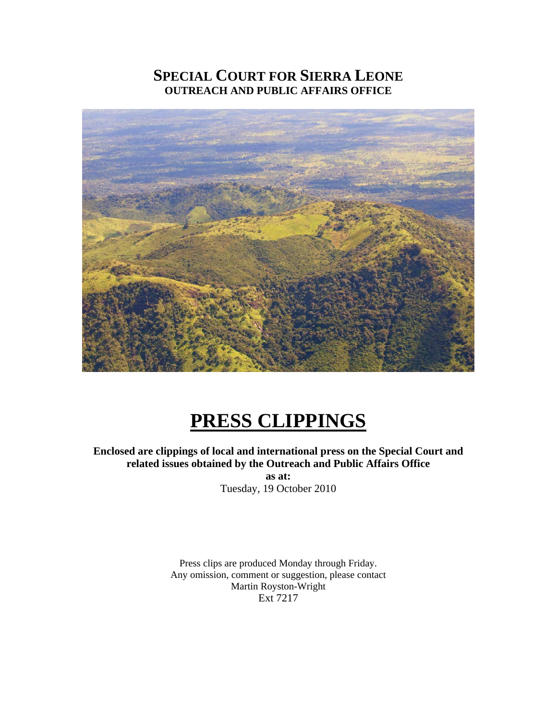# **SPECIAL COURT FOR SIERRA LEONE OUTREACH AND PUBLIC AFFAIRS OFFICE**



# **PRESS CLIPPINGS**

# **Enclosed are clippings of local and international press on the Special Court and related issues obtained by the Outreach and Public Affairs Office**

**as at:**  Tuesday, 19 October 2010

Press clips are produced Monday through Friday. Any omission, comment or suggestion, please contact Martin Royston-Wright Ext 7217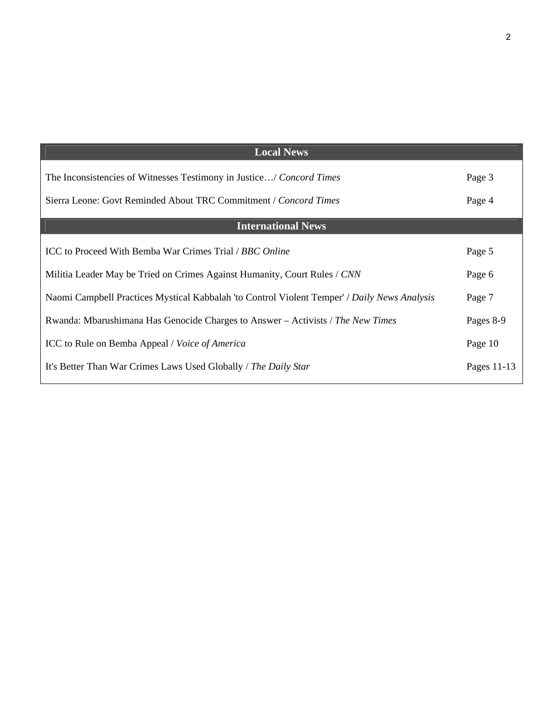| <b>Local News</b>                                                                            |             |
|----------------------------------------------------------------------------------------------|-------------|
| The Inconsistencies of Witnesses Testimony in Justice/ Concord Times                         | Page 3      |
| Sierra Leone: Govt Reminded About TRC Commitment / Concord Times                             | Page 4      |
| <b>International News</b>                                                                    |             |
| ICC to Proceed With Bemba War Crimes Trial / BBC Online                                      | Page 5      |
| Militia Leader May be Tried on Crimes Against Humanity, Court Rules / CNN                    | Page 6      |
| Naomi Campbell Practices Mystical Kabbalah 'to Control Violent Temper' / Daily News Analysis | Page 7      |
| Rwanda: Mbarushimana Has Genocide Charges to Answer – Activists / The New Times              | Pages 8-9   |
| ICC to Rule on Bemba Appeal / Voice of America                                               | Page 10     |
| It's Better Than War Crimes Laws Used Globally / The Daily Star                              | Pages 11-13 |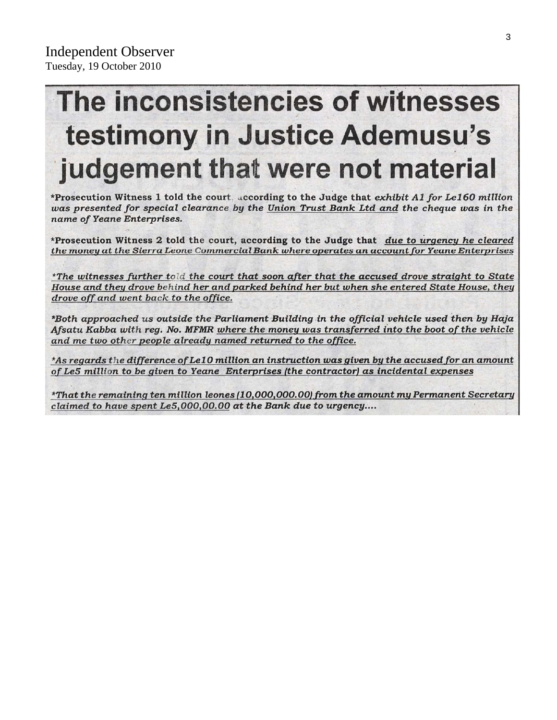# The inconsistencies of witnesses testimony in Justice Ademusu's judgement that were not material

\*Prosecution Witness 1 told the court, according to the Judge that exhibit A1 for Le160 million was presented for special clearance by the Union Trust Bank Ltd and the cheque was in the name of Yeane Enterprises.

\*Prosecution Witness 2 told the court, according to the Judge that due to urgency he cleared the money at the Sierra Leone Commercial Bank where operates an account for Yeane Enterprises

\*The witnesses further told the court that soon after that the accused drove straight to State House and they drove behind her and parked behind her but when she entered State House, they drove off and went back to the office.

\*Both approached us outside the Parliament Building in the official vehicle used then by Haja Afsatu Kabba with reg. No. MFMR where the money was transferred into the boot of the vehicle and me two other people already named returned to the office.

\*As regards the difference of Le10 million an instruction was given by the accused for an amount of Le5 million to be given to Yeane Enterprises (the contractor) as incidental expenses

\*That the remaining ten million leones (10,000,000.00) from the amount my Permanent Secretary claimed to have spent Le5,000,00.00 at the Bank due to urgency....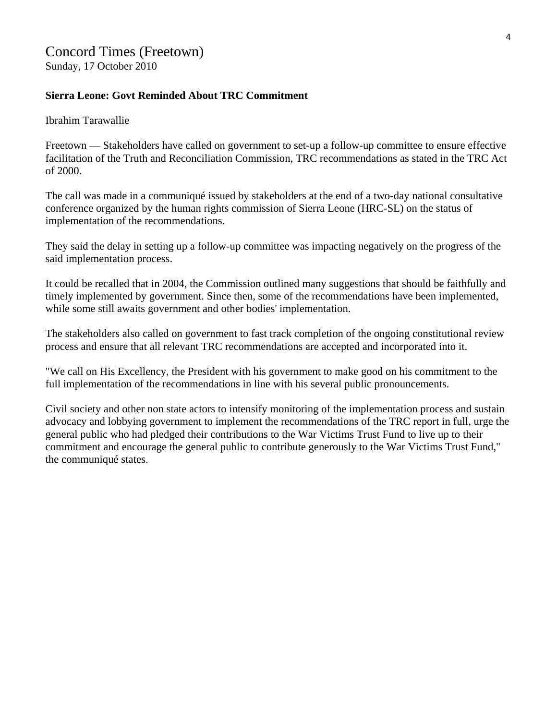# Concord Times (Freetown)

Sunday, 17 October 2010

#### **Sierra Leone: Govt Reminded About TRC Commitment**

Ibrahim Tarawallie

Freetown — Stakeholders have called on government to set-up a follow-up committee to ensure effective facilitation of the Truth and Reconciliation Commission, TRC recommendations as stated in the TRC Act of 2000.

The call was made in a communiqué issued by stakeholders at the end of a two-day national consultative conference organized by the human rights commission of Sierra Leone (HRC-SL) on the status of implementation of the recommendations.

They said the delay in setting up a follow-up committee was impacting negatively on the progress of the said implementation process.

It could be recalled that in 2004, the Commission outlined many suggestions that should be faithfully and timely implemented by government. Since then, some of the recommendations have been implemented, while some still awaits government and other bodies' implementation.

The stakeholders also called on government to fast track completion of the ongoing constitutional review process and ensure that all relevant TRC recommendations are accepted and incorporated into it.

"We call on His Excellency, the President with his government to make good on his commitment to the full implementation of the recommendations in line with his several public pronouncements.

Civil society and other non state actors to intensify monitoring of the implementation process and sustain advocacy and lobbying government to implement the recommendations of the TRC report in full, urge the general public who had pledged their contributions to the War Victims Trust Fund to live up to their commitment and encourage the general public to contribute generously to the War Victims Trust Fund," the communiqué states.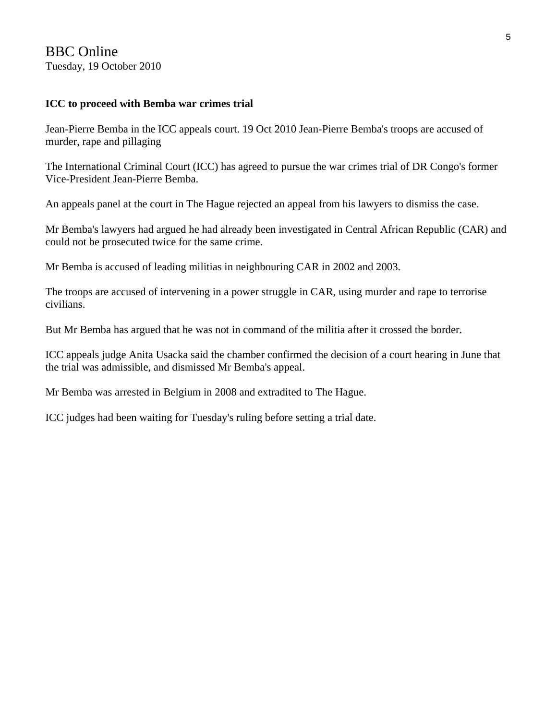## BBC Online Tuesday, 19 October 2010

#### **ICC to proceed with Bemba war crimes trial**

Jean-Pierre Bemba in the ICC appeals court. 19 Oct 2010 Jean-Pierre Bemba's troops are accused of murder, rape and pillaging

The International Criminal Court (ICC) has agreed to pursue the war crimes trial of DR Congo's former Vice-President Jean-Pierre Bemba.

An appeals panel at the court in The Hague rejected an appeal from his lawyers to dismiss the case.

Mr Bemba's lawyers had argued he had already been investigated in Central African Republic (CAR) and could not be prosecuted twice for the same crime.

Mr Bemba is accused of leading militias in neighbouring CAR in 2002 and 2003.

The troops are accused of intervening in a power struggle in CAR, using murder and rape to terrorise civilians.

But Mr Bemba has argued that he was not in command of the militia after it crossed the border.

ICC appeals judge Anita Usacka said the chamber confirmed the decision of a court hearing in June that the trial was admissible, and dismissed Mr Bemba's appeal.

Mr Bemba was arrested in Belgium in 2008 and extradited to The Hague.

ICC judges had been waiting for Tuesday's ruling before setting a trial date.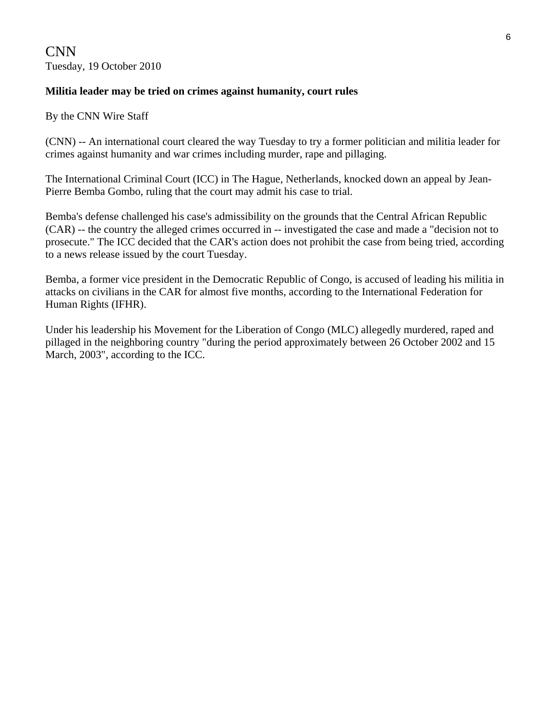CNN Tuesday, 19 October 2010

#### **Militia leader may be tried on crimes against humanity, court rules**

By the CNN Wire Staff

(CNN) -- An international court cleared the way Tuesday to try a former politician and militia leader for crimes against humanity and war crimes including murder, rape and pillaging.

The International Criminal Court (ICC) in The Hague, Netherlands, knocked down an appeal by Jean-Pierre Bemba Gombo, ruling that the court may admit his case to trial.

Bemba's defense challenged his case's admissibility on the grounds that the Central African Republic (CAR) -- the country the alleged crimes occurred in -- investigated the case and made a "decision not to prosecute." The ICC decided that the CAR's action does not prohibit the case from being tried, according to a news release issued by the court Tuesday.

Bemba, a former vice president in the Democratic Republic of Congo, is accused of leading his militia in attacks on civilians in the CAR for almost five months, according to the International Federation for Human Rights (IFHR).

Under his leadership his Movement for the Liberation of Congo (MLC) allegedly murdered, raped and pillaged in the neighboring country "during the period approximately between 26 October 2002 and 15 March, 2003", according to the ICC.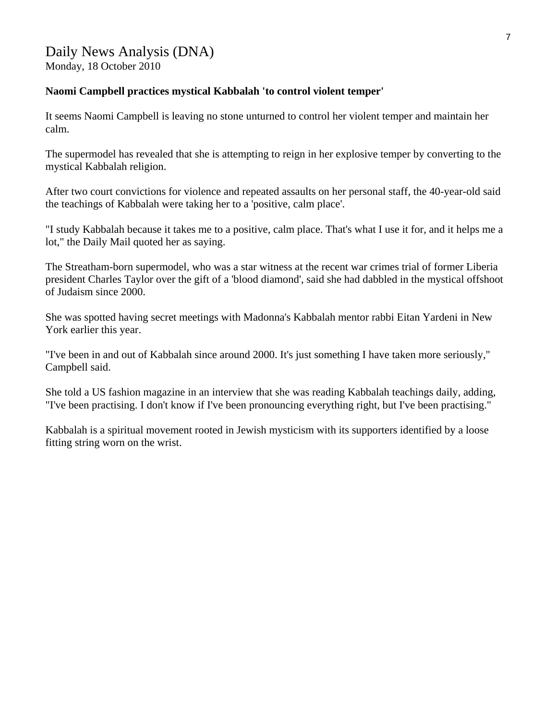#### **Naomi Campbell practices mystical Kabbalah 'to control violent temper'**

It seems Naomi Campbell is leaving no stone unturned to control her violent temper and maintain her calm.

The supermodel has revealed that she is attempting to reign in her explosive temper by converting to the mystical Kabbalah religion.

After two court convictions for violence and repeated assaults on her personal staff, the 40-year-old said the teachings of Kabbalah were taking her to a 'positive, calm place'.

"I study Kabbalah because it takes me to a positive, calm place. That's what I use it for, and it helps me a lot," the Daily Mail quoted her as saying.

The Streatham-born supermodel, who was a star witness at the recent war crimes trial of former Liberia president Charles Taylor over the gift of a 'blood diamond', said she had dabbled in the mystical offshoot of Judaism since 2000.

She was spotted having secret meetings with Madonna's Kabbalah mentor rabbi Eitan Yardeni in New York earlier this year.

"I've been in and out of Kabbalah since around 2000. It's just something I have taken more seriously," Campbell said.

She told a US fashion magazine in an interview that she was reading Kabbalah teachings daily, adding, "I've been practising. I don't know if I've been pronouncing everything right, but I've been practising."

Kabbalah is a spiritual movement rooted in Jewish mysticism with its supporters identified by a loose fitting string worn on the wrist.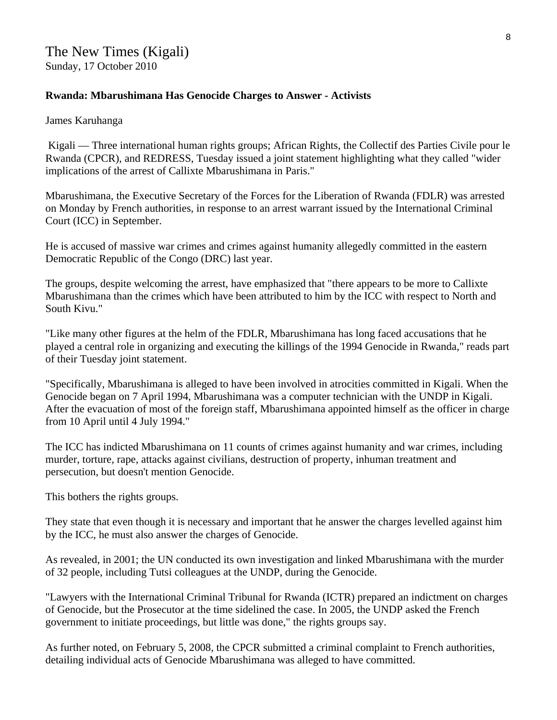#### **Rwanda: Mbarushimana Has Genocide Charges to Answer - Activists**

James Karuhanga

 Kigali — Three international human rights groups; African Rights, the Collectif des Parties Civile pour le Rwanda (CPCR), and REDRESS, Tuesday issued a joint statement highlighting what they called "wider implications of the arrest of Callixte Mbarushimana in Paris."

Mbarushimana, the Executive Secretary of the Forces for the Liberation of Rwanda (FDLR) was arrested on Monday by French authorities, in response to an arrest warrant issued by the International Criminal Court (ICC) in September.

He is accused of massive war crimes and crimes against humanity allegedly committed in the eastern Democratic Republic of the Congo (DRC) last year.

The groups, despite welcoming the arrest, have emphasized that "there appears to be more to Callixte Mbarushimana than the crimes which have been attributed to him by the ICC with respect to North and South Kivu."

"Like many other figures at the helm of the FDLR, Mbarushimana has long faced accusations that he played a central role in organizing and executing the killings of the 1994 Genocide in Rwanda," reads part of their Tuesday joint statement.

"Specifically, Mbarushimana is alleged to have been involved in atrocities committed in Kigali. When the Genocide began on 7 April 1994, Mbarushimana was a computer technician with the UNDP in Kigali. After the evacuation of most of the foreign staff, Mbarushimana appointed himself as the officer in charge from 10 April until 4 July 1994."

The ICC has indicted Mbarushimana on 11 counts of crimes against humanity and war crimes, including murder, torture, rape, attacks against civilians, destruction of property, inhuman treatment and persecution, but doesn't mention Genocide.

This bothers the rights groups.

They state that even though it is necessary and important that he answer the charges levelled against him by the ICC, he must also answer the charges of Genocide.

As revealed, in 2001; the UN conducted its own investigation and linked Mbarushimana with the murder of 32 people, including Tutsi colleagues at the UNDP, during the Genocide.

"Lawyers with the International Criminal Tribunal for Rwanda (ICTR) prepared an indictment on charges of Genocide, but the Prosecutor at the time sidelined the case. In 2005, the UNDP asked the French government to initiate proceedings, but little was done," the rights groups say.

As further noted, on February 5, 2008, the CPCR submitted a criminal complaint to French authorities, detailing individual acts of Genocide Mbarushimana was alleged to have committed.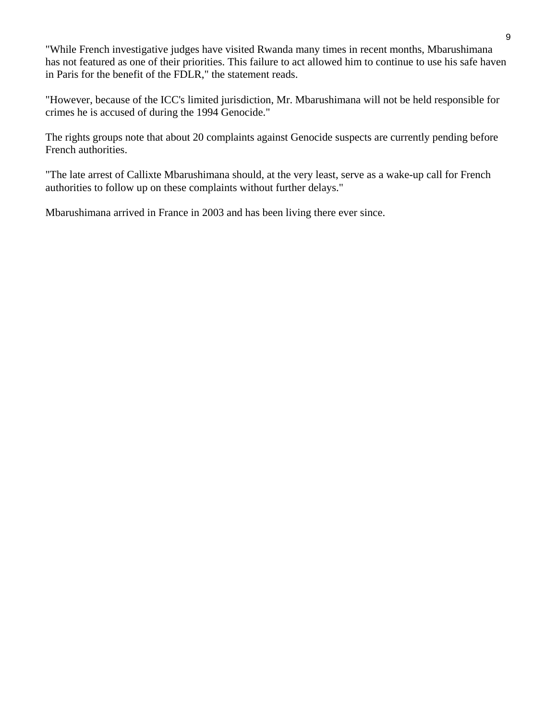"While French investigative judges have visited Rwanda many times in recent months, Mbarushimana has not featured as one of their priorities. This failure to act allowed him to continue to use his safe haven in Paris for the benefit of the FDLR," the statement reads.

"However, because of the ICC's limited jurisdiction, Mr. Mbarushimana will not be held responsible for crimes he is accused of during the 1994 Genocide."

The rights groups note that about 20 complaints against Genocide suspects are currently pending before French authorities.

"The late arrest of Callixte Mbarushimana should, at the very least, serve as a wake-up call for French authorities to follow up on these complaints without further delays."

Mbarushimana arrived in France in 2003 and has been living there ever since.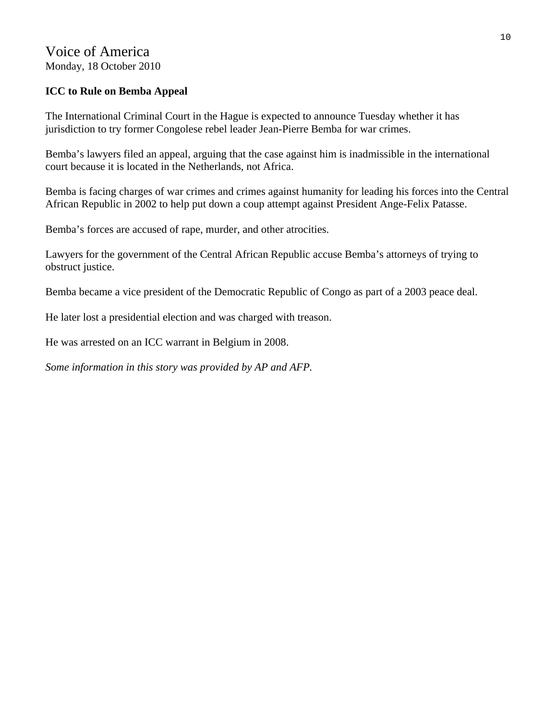# Voice of America Monday, 18 October 2010

## **ICC to Rule on Bemba Appeal**

The International Criminal Court in the Hague is expected to announce Tuesday whether it has jurisdiction to try former Congolese rebel leader Jean-Pierre Bemba for war crimes.

Bemba's lawyers filed an appeal, arguing that the case against him is inadmissible in the international court because it is located in the Netherlands, not Africa.

Bemba is facing charges of war crimes and crimes against humanity for leading his forces into the Central African Republic in 2002 to help put down a coup attempt against President Ange-Felix Patasse.

Bemba's forces are accused of rape, murder, and other atrocities.

Lawyers for the government of the Central African Republic accuse Bemba's attorneys of trying to obstruct justice.

Bemba became a vice president of the Democratic Republic of Congo as part of a 2003 peace deal.

He later lost a presidential election and was charged with treason.

He was arrested on an ICC warrant in Belgium in 2008.

*Some information in this story was provided by AP and AFP.*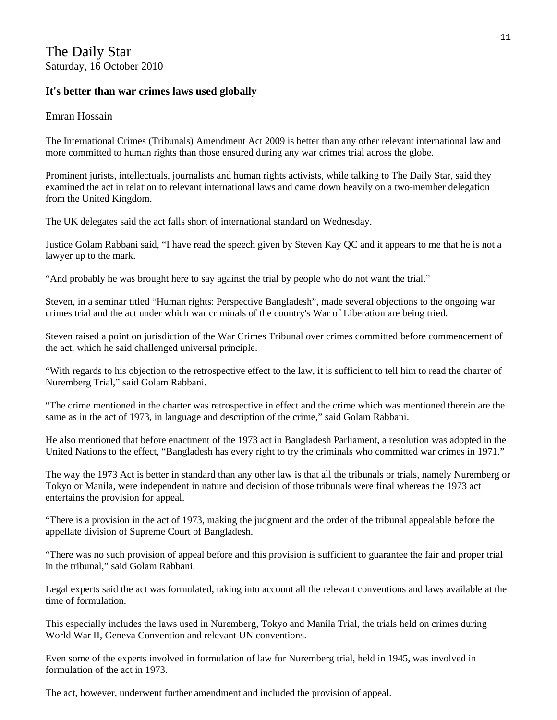# The Daily Star Saturday, 16 October 2010

#### **It's better than war crimes laws used globally**

#### Emran Hossain

The International Crimes (Tribunals) Amendment Act 2009 is better than any other relevant international law and more committed to human rights than those ensured during any war crimes trial across the globe.

Prominent jurists, intellectuals, journalists and human rights activists, while talking to The Daily Star, said they examined the act in relation to relevant international laws and came down heavily on a two-member delegation from the United Kingdom.

The UK delegates said the act falls short of international standard on Wednesday.

Justice Golam Rabbani said, "I have read the speech given by Steven Kay QC and it appears to me that he is not a lawyer up to the mark.

"And probably he was brought here to say against the trial by people who do not want the trial."

Steven, in a seminar titled "Human rights: Perspective Bangladesh", made several objections to the ongoing war crimes trial and the act under which war criminals of the country's War of Liberation are being tried.

Steven raised a point on jurisdiction of the War Crimes Tribunal over crimes committed before commencement of the act, which he said challenged universal principle.

"With regards to his objection to the retrospective effect to the law, it is sufficient to tell him to read the charter of Nuremberg Trial," said Golam Rabbani.

"The crime mentioned in the charter was retrospective in effect and the crime which was mentioned therein are the same as in the act of 1973, in language and description of the crime," said Golam Rabbani.

He also mentioned that before enactment of the 1973 act in Bangladesh Parliament, a resolution was adopted in the United Nations to the effect, "Bangladesh has every right to try the criminals who committed war crimes in 1971."

The way the 1973 Act is better in standard than any other law is that all the tribunals or trials, namely Nuremberg or Tokyo or Manila, were independent in nature and decision of those tribunals were final whereas the 1973 act entertains the provision for appeal.

"There is a provision in the act of 1973, making the judgment and the order of the tribunal appealable before the appellate division of Supreme Court of Bangladesh.

"There was no such provision of appeal before and this provision is sufficient to guarantee the fair and proper trial in the tribunal," said Golam Rabbani.

Legal experts said the act was formulated, taking into account all the relevant conventions and laws available at the time of formulation.

This especially includes the laws used in Nuremberg, Tokyo and Manila Trial, the trials held on crimes during World War II, Geneva Convention and relevant UN conventions.

Even some of the experts involved in formulation of law for Nuremberg trial, held in 1945, was involved in formulation of the act in 1973.

The act, however, underwent further amendment and included the provision of appeal.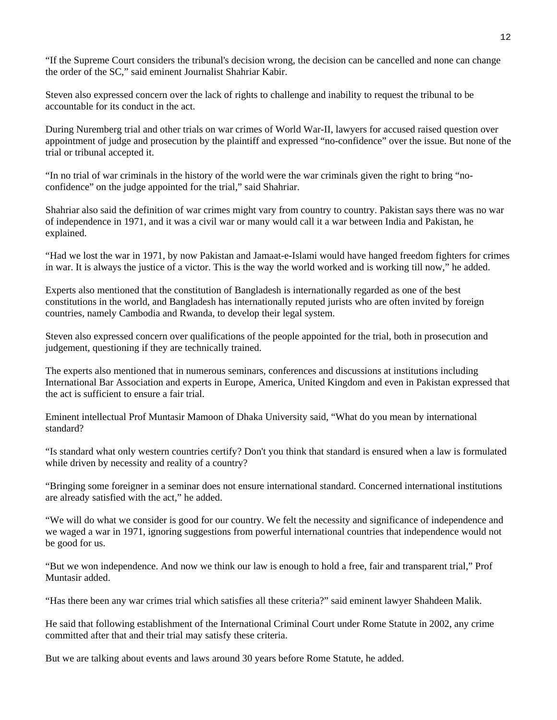"If the Supreme Court considers the tribunal's decision wrong, the decision can be cancelled and none can change the order of the SC," said eminent Journalist Shahriar Kabir.

Steven also expressed concern over the lack of rights to challenge and inability to request the tribunal to be accountable for its conduct in the act.

During Nuremberg trial and other trials on war crimes of World War-II, lawyers for accused raised question over appointment of judge and prosecution by the plaintiff and expressed "no-confidence" over the issue. But none of the trial or tribunal accepted it.

"In no trial of war criminals in the history of the world were the war criminals given the right to bring "noconfidence" on the judge appointed for the trial," said Shahriar.

Shahriar also said the definition of war crimes might vary from country to country. Pakistan says there was no war of independence in 1971, and it was a civil war or many would call it a war between India and Pakistan, he explained.

"Had we lost the war in 1971, by now Pakistan and Jamaat-e-Islami would have hanged freedom fighters for crimes in war. It is always the justice of a victor. This is the way the world worked and is working till now," he added.

Experts also mentioned that the constitution of Bangladesh is internationally regarded as one of the best constitutions in the world, and Bangladesh has internationally reputed jurists who are often invited by foreign countries, namely Cambodia and Rwanda, to develop their legal system.

Steven also expressed concern over qualifications of the people appointed for the trial, both in prosecution and judgement, questioning if they are technically trained.

The experts also mentioned that in numerous seminars, conferences and discussions at institutions including International Bar Association and experts in Europe, America, United Kingdom and even in Pakistan expressed that the act is sufficient to ensure a fair trial.

Eminent intellectual Prof Muntasir Mamoon of Dhaka University said, "What do you mean by international standard?

"Is standard what only western countries certify? Don't you think that standard is ensured when a law is formulated while driven by necessity and reality of a country?

"Bringing some foreigner in a seminar does not ensure international standard. Concerned international institutions are already satisfied with the act," he added.

"We will do what we consider is good for our country. We felt the necessity and significance of independence and we waged a war in 1971, ignoring suggestions from powerful international countries that independence would not be good for us.

"But we won independence. And now we think our law is enough to hold a free, fair and transparent trial," Prof Muntasir added.

"Has there been any war crimes trial which satisfies all these criteria?" said eminent lawyer Shahdeen Malik.

He said that following establishment of the International Criminal Court under Rome Statute in 2002, any crime committed after that and their trial may satisfy these criteria.

But we are talking about events and laws around 30 years before Rome Statute, he added.